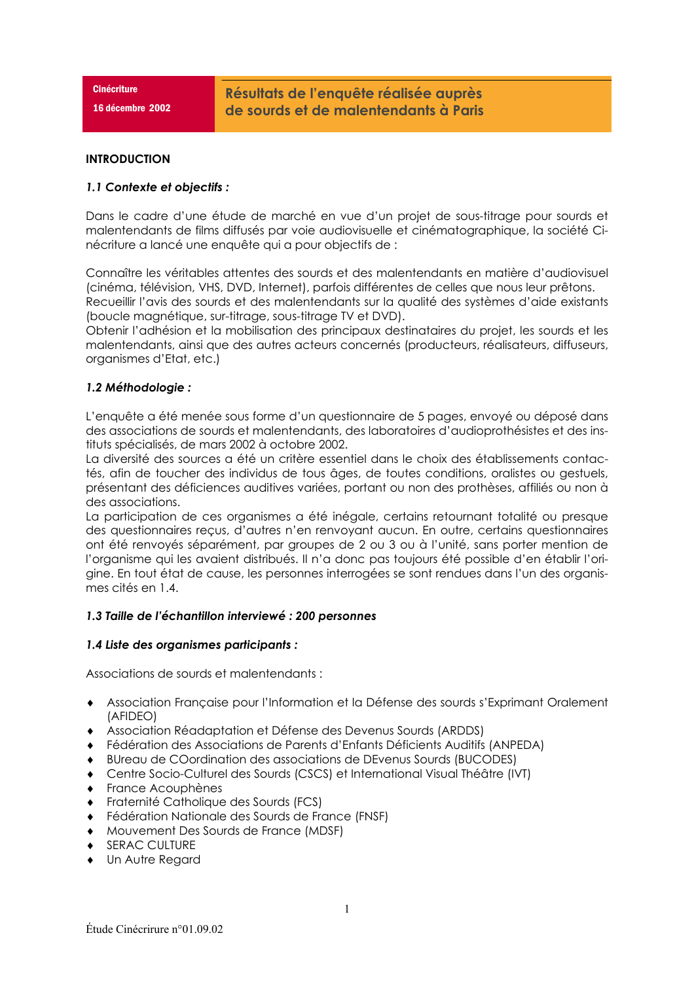**Cinécriture** 

16 décembre 2002

### **INTRODUCTION**

## 1.1 Contexte et objectifs :

Dans le cadre d'une étude de marché en vue d'un projet de sous-titrage pour sourds et malentendants de films diffusés par voie audiovisuelle et cinématographique, la société Cinécriture a lancé une enquête qui a pour objectifs de :

Connaître les véritables attentes des sourds et des malentendants en matière d'audiovisuel (cinéma, télévision, VHS, DVD, Internet), parfois différentes de celles que nous leur prêtons. Recueillir l'avis des sourds et des malentendants sur la qualité des systèmes d'aide existants (boucle magnétique, sur-titrage, sous-titrage TV et DVD).

Obtenir l'adhésion et la mobilisation des principaux destinataires du projet, les sourds et les malentendants, ainsi que des autres acteurs concernés (producteurs, réalisateurs, diffuseurs, organismes d'Etat, etc.)

## 1.2 Méthodologie :

L'enquête a été menée sous forme d'un questionnaire de 5 pages, envoyé ou déposé dans des associations de sourds et malentendants, des laboratoires d'audioprothésistes et des instituts spécialisés, de mars 2002 à octobre 2002.

La diversité des sources a été un critère essentiel dans le choix des établissements contactés, afin de toucher des individus de tous âges, de toutes conditions, oralistes ou gestuels, présentant des déficiences auditives variées, portant ou non des prothèses, affiliés ou non à des associations.

La participation de ces organismes a été inégale, certains retournant totalité ou presque des questionnaires recus, d'autres n'en renvoyant aucun. En outre, certains questionnaires ont été renvoyés séparément, par groupes de 2 ou 3 ou à l'unité, sans porter mention de l'organisme qui les avaient distribués. Il n'a donc pas toujours été possible d'en établir l'origine. En tout état de cause, les personnes interrogées se sont rendues dans l'un des organismes cités en 1.4.

### 1.3 Taille de l'échantillon interviewé : 200 personnes

### 1.4 Liste des organismes participants :

Associations de sourds et malentendants :

- Association Française pour l'Information et la Défense des sourds s'Exprimant Oralement (AFIDEO)
- Association Réadaptation et Défense des Devenus Sourds (ARDDS)
- Fédération des Associations de Parents d'Enfants Déficients Auditifs (ANPEDA)
- BUreau de COordination des associations de DEvenus Sourds (BUCODES)
- ◆ Centre Socio-Culturel des Sourds (CSCS) et International Visual Théâtre (IVT)
- $\bullet$  France Acouphènes
- Fraternité Catholique des Sourds (FCS)
- Fédération Nationale des Sourds de France (FNSF)
- Mouvement Des Sourds de France (MDSF)  $\bullet$
- ◆ SERAC CULTURE
- Un Autre Regard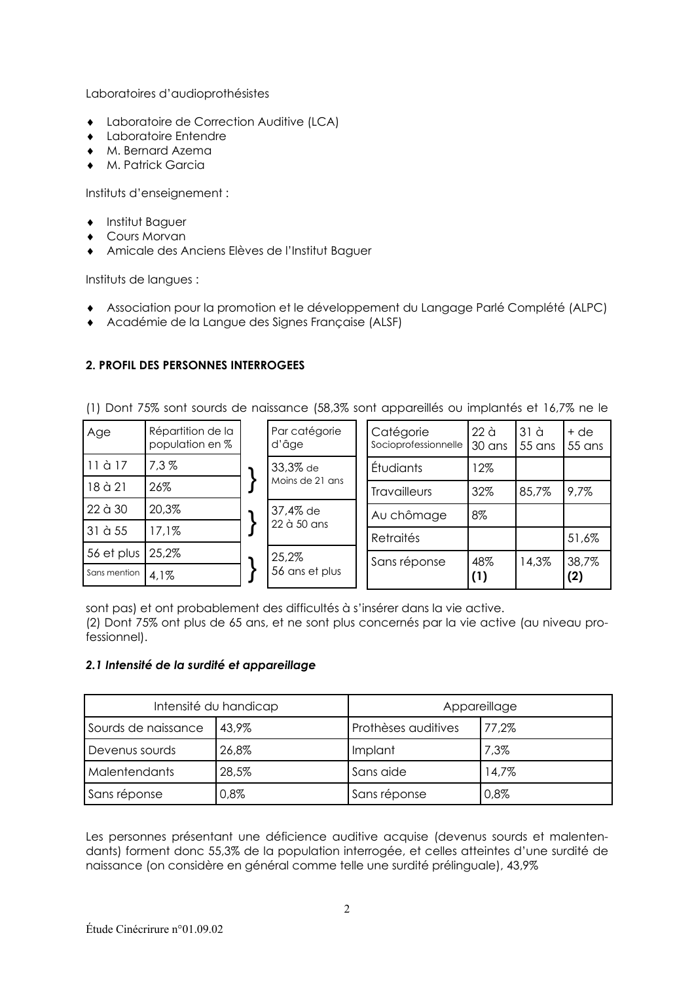Laboratoires d'audioprothésistes

- Laboratoire de Correction Auditive (LCA)
- Laboratoire Entendre
- M. Bernard Azema  $\blacktriangle$
- $\bullet$  M Patrick Garcia

Instituts d'enseignement :

- Institut Baguer
- Cours Morvan
- Amicale des Anciens Elèves de l'Institut Baguer

Instituts de langues :

- Association pour la promotion et le développement du Langage Parlé Complété (ALPC)
- Académie de la Langue des Signes Française (ALSF)

# 2. PROFIL DES PERSONNES INTERROGEES

(1) Dont 75% sont sourds de naissance (58,3% sont appareillés ou implantés et 16,7% ne le

| Age          | Répartition de la<br>population en % | Par catégorie<br>d'âge                  | Catégorie<br>Socioprofessionnelle | 22 <sub>o</sub><br>30 ans | 31 <sub>d</sub><br>55 ans | + de<br>55 ans |
|--------------|--------------------------------------|-----------------------------------------|-----------------------------------|---------------------------|---------------------------|----------------|
| 11 à 17      | 7,3%                                 | 33,3% de<br>Moins de 21 ans<br>37,4% de | Étudiants                         | 12%                       |                           |                |
| 18 à 21      | 26%                                  |                                         | <b>Travailleurs</b>               | 32%                       | 85,7%                     | 9,7%           |
| 22 à 30      | 20,3%                                |                                         | Au chômage                        | 8%                        |                           |                |
| 31 à 55      | 17.1%                                | 22 à 50 ans                             | <b>Retraités</b>                  |                           |                           | 51,6%          |
| 56 et plus   | 25,2%                                | 25,2%                                   | Sans réponse                      | 48%                       | 14,3%                     | 38,7%          |
| Sans mention | 4,1%                                 | 56 ans et plus                          |                                   | (1)                       |                           | (2)            |

sont pas) et ont probablement des difficultés à s'insérer dans la vie active.

(2) Dont 75% ont plus de 65 ans, et ne sont plus concernés par la vie active (au niveau professionnel).

## 2.1 Intensité de la surdité et appareillage

|                      | Intensité du handicap | Appareillage        |       |  |
|----------------------|-----------------------|---------------------|-------|--|
| Sourds de naissance  | 43.9%                 | Prothèses auditives | 77.2% |  |
| Devenus sourds       | 26,8%                 | Implant             | 7,3%  |  |
| <b>Malentendants</b> | 28,5%                 | Sans aide           | 14,7% |  |
| Sans réponse         | 0,8%                  | Sans réponse        | 0,8%  |  |

Les personnes présentant une déficience auditive acquise (devenus sourds et malentendants) forment donc 55,3% de la population interrogée, et celles atteintes d'une surdité de naissance (on considère en général comme telle une surdité prélinguale), 43,9%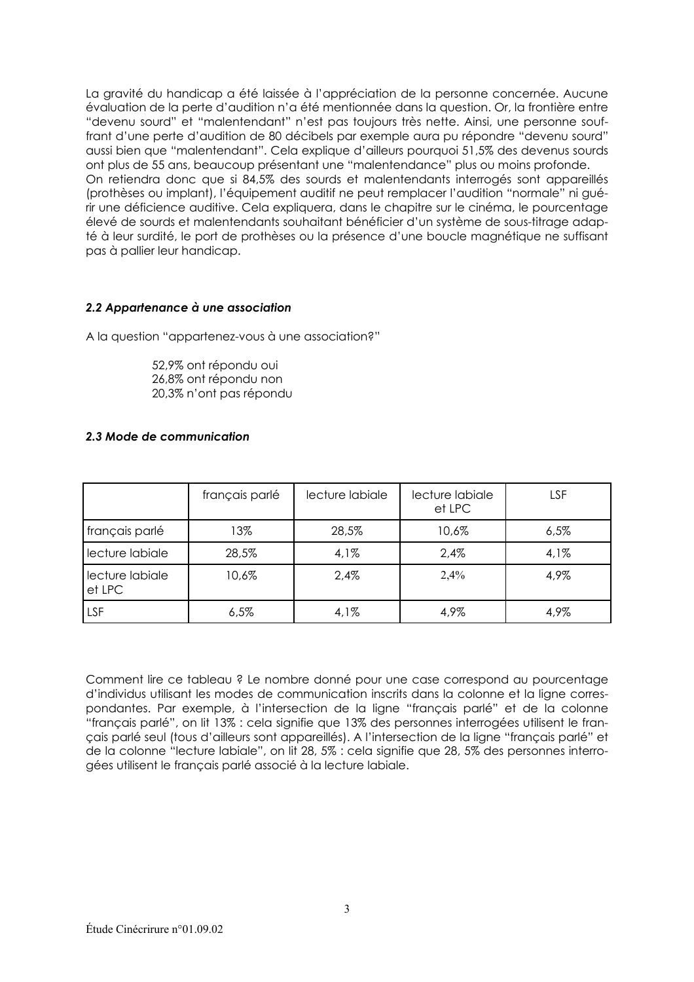La gravité du handicap a été laissée à l'appréciation de la personne concernée. Aucune évaluation de la perte d'audition n'a été mentionnée dans la question. Or, la frontière entre "devenu sourd" et "malentendant" n'est pas toujours très nette. Ainsi, une personne souffrant d'une perte d'audition de 80 décibels par exemple aura pu répondre "devenu sourd" aussi bien que "malentendant". Cela explique d'ailleurs pourquoi 51,5% des devenus sourds ont plus de 55 ans, beaucoup présentant une "malentendance" plus ou moins profonde. On retiendra donc que si 84,5% des sourds et malentendants interrogés sont appareillés (prothèses ou implant), l'équipement auditif ne peut remplacer l'audition "normale" ni quérir une déficience auditive. Cela expliquera, dans le chapitre sur le cinéma, le pourcentage élevé de sourds et malentendants souhaitant bénéficier d'un système de sous-titrage adapté à leur surdité, le port de prothèses ou la présence d'une boucle magnétique ne suffisant pas à pallier leur handicap.

### 2.2 Appartenance à une association

A la question "appartenez-vous à une association?"

52.9% ont répondu oui 26.8% ont répondu non 20,3% n'ont pas répondu

## 2.3 Mode de communication

|                           | français parlé | lecture labiale | lecture labiale<br>et LPC | LSF  |
|---------------------------|----------------|-----------------|---------------------------|------|
| français parlé            | 13%            | 28,5%           | 10,6%                     | 6,5% |
| lecture labiale           | 28,5%          | 4,1%            | 2,4%                      | 4,1% |
| lecture labiale<br>et LPC | 10,6%          | 2.4%            | 2,4%                      | 4,9% |
| LSF                       | 6,5%           | 4,1%            | 4,9%                      | 4,9% |

Comment lire ce tableau ? Le nombre donné pour une case correspond au pourcentage d'individus utilisant les modes de communication inscrits dans la colonne et la ligne correspondantes. Par exemple, à l'intersection de la ligne "francais parlé" et de la colonne "français parlé", on lit 13% : cela signifie que 13% des personnes interrogées utilisent le francais parlé seul (tous d'ailleurs sont appareillés). A l'intersection de la liane "francais parlé" et de la colonne "lecture labiale", on lit 28, 5% : cela signifie que 28, 5% des personnes interrogées utilisent le français parlé associé à la lecture labiale.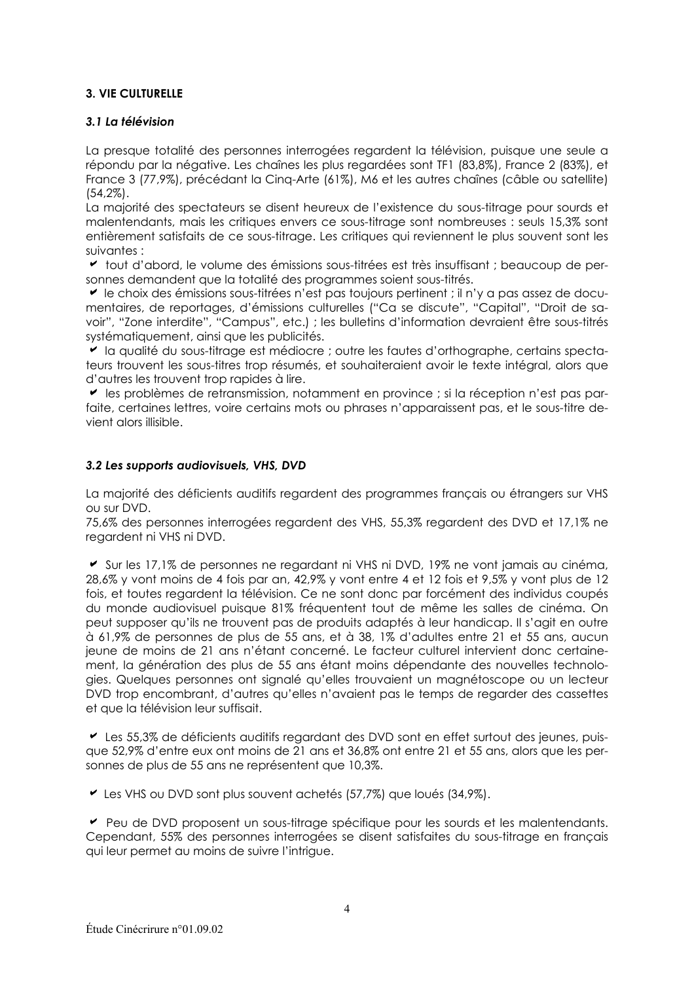## **3. VIE CULTURELLE**

## 3.1 La télévision

La presque totalité des personnes interrogées regardent la télévision, puisque une seule a répondu par la négative. Les chaînes les plus regardées sont TF1 (83,8%), France 2 (83%), et France 3 (77,9%), précédant la Cing-Arte (61%), M6 et les autres chaînes (câble ou satellite)  $(54.2\%)$ .

La majorité des spectateurs se disent heureux de l'existence du sous-titrage pour sourds et malentendants, mais les critiques envers ce sous-titrage sont nombreuses : seuls 15,3% sont entièrement satisfaits de ce sous-titrage. Les critiques qui reviennent le plus souvent sont les suivantes :

out d'abord, le volume des émissions sous-titrées est très insuffisant : beaucoup de personnes demandent que la totalité des programmes soient sous-titrés.

Le choix des émissions sous-titrées n'est pas toujours pertinent ; il n'y a pas assez de documentaires, de reportages, d'émissions culturelles ("Ca se discute", "Capital", "Droit de savoir", "Zone interdite", "Campus", etc.); les bulletins d'information devraient être sous-titrés systématiquement, ainsi que les publicités.

I la qualité du sous-titrage est médiocre ; outre les fautes d'orthographe, certains spectateurs trouvent les sous-titres trop résumés, et souhaiteraient avoir le texte intéaral, alors aue d'autres les trouvent trop rapides à lire.

bes problèmes de retransmission, notamment en province ; si la réception n'est pas parfaite, certaines lettres, voire certains mots ou phrases n'apparaissent pas, et le sous-titre devient alors illisible.

## 3.2 Les supports audiovisuels, VHS, DVD

La majorité des déficients auditifs regardent des programmes français ou étrangers sur VHS ou sur DVD.

75,6% des personnes interrogées regardent des VHS, 55,3% regardent des DVD et 17,1% ne reaardent ni VHS ni DVD.

Sur les 17,1% de personnes ne regardant ni VHS ni DVD, 19% ne vont jamais au cinéma, 28,6% y vont moins de 4 fois par an, 42,9% y vont entre 4 et 12 fois et 9,5% y vont plus de 12 fois, et toutes regardent la télévision. Ce ne sont donc par forcément des individus coupés du monde audiovisuel puisque 81% fréquentent tout de même les salles de cinéma. On peut supposer qu'ils ne trouvent pas de produits adaptés à leur handicap. Il s'agit en outre à 61,9% de personnes de plus de 55 ans, et à 38, 1% d'adultes entre 21 et 55 ans, aucun jeune de moins de 21 ans n'étant concerné. Le facteur culturel intervient donc certainement, la génération des plus de 55 ans étant moins dépendante des nouvelles technologies. Quelques personnes ont signalé qu'elles trouvaient un magnétoscope ou un lecteur DVD trop encombrant, d'autres qu'elles n'avaient pas le temps de regarder des cassettes et que la télévision leur suffisait.

Les 55,3% de déficients auditifs regardant des DVD sont en effet surtout des jeunes, puisque 52,9% d'entre eux ont moins de 21 ans et 36,8% ont entre 21 et 55 ans, alors que les personnes de plus de 55 ans ne représentent que 10,3%.

Les VHS ou DVD sont plus souvent achetés (57,7%) que loués (34,9%).

Peu de DVD proposent un sous-titrage spécifique pour les sourds et les malentendants. Cependant, 55% des personnes interrogées se disent satisfaites du sous-titrage en français qui leur permet au moins de suivre l'intrique.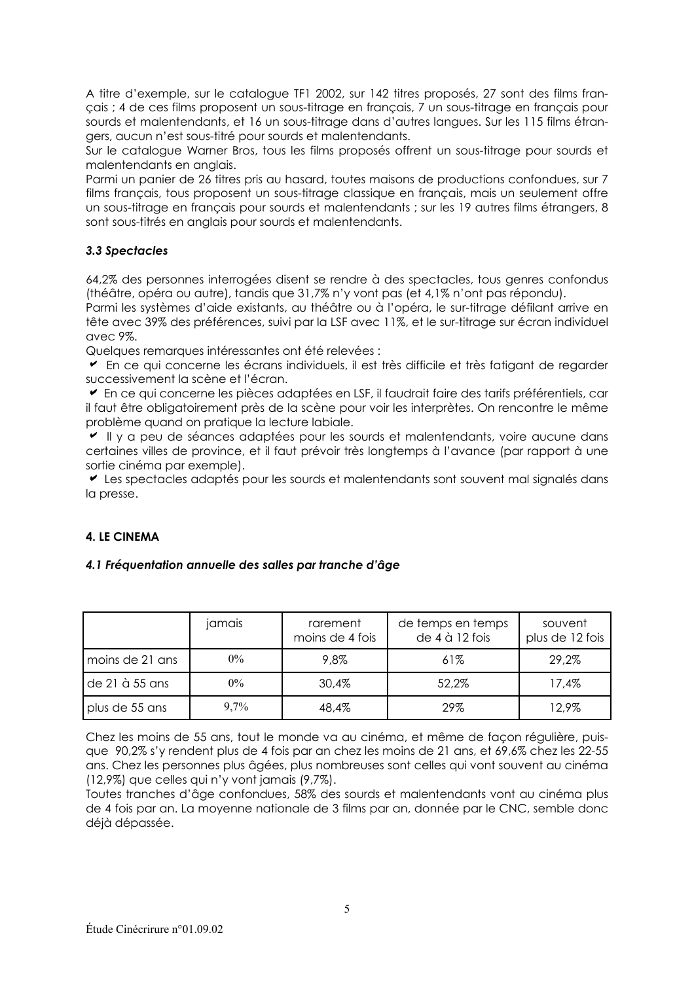A titre d'exemple, sur le catalogue TF1 2002, sur 142 titres proposés, 27 sont des films français ; 4 de ces films proposent un sous-titrage en français, 7 un sous-titrage en français pour sourds et malentendants, et 16 un sous-titrage dans d'autres langues. Sur les 115 films étrangers, qucun n'est sous-titré pour sourds et malentendants.

Sur le catalogue Warner Bros, tous les films proposés offrent un sous-titrage pour sourds et malentendants en anglais.

Parmi un panier de 26 titres pris au hasard, toutes maisons de productions confondues, sur 7 films francais, tous proposent un sous-titrage classique en francais, mais un seulement offre un sous-titrage en français pour sourds et malentendants ; sur les 19 autres films étrangers, 8 sont sous-titrés en anglais pour sourds et malentendants.

## 3.3 Spectacles

64,2% des personnes interrogées disent se rendre à des spectacles, tous genres confondus (théâtre, opéra ou autre), tandis que 31,7% n'y vont pas (et 4,1% n'ont pas répondu).

Parmi les systèmes d'aide existants, au théâtre ou à l'opéra, le sur-titrage défilant arrive en tête avec 39% des préférences, suivi par la LSF avec 11%, et le sur-titrage sur écran individuel avec 9%.

Quelques remarques intéressantes ont été relevées :

En ce aui concerne les écrans individuels, il est très difficile et très fatiaant de reagrater successivement la scène et l'écran.

En ce qui concerne les pièces adaptées en LSF, il faudrait faire des tarifs préférentiels, car il faut être obligatoirement près de la scène pour voir les interprètes. On rencontre le même problème quand on pratique la lecture labiale.

Il y a peu de séances adaptées pour les sourds et malentendants, voire aucune dans certaines villes de province, et il faut prévoir très longtemps à l'avance (par rapport à une sortie cinéma par exemple).

Les spectacles adaptés pour les sourds et malentendants sont souvent mal signalés dans la presse.

### **4. LE CINEMA**

### 4.1 Fréquentation annuelle des salles par tranche d'âge

|                 | jamais  | rarement<br>moins de 4 fois | de temps en temps<br>de 4 à 12 fois | souvent<br>plus de 12 fois |
|-----------------|---------|-----------------------------|-------------------------------------|----------------------------|
| moins de 21 ans | $0\%$   | 9,8%                        | 61%                                 | 29,2%                      |
| de 21 à 55 ans  | $0\%$   | 30,4%                       | 52,2%                               | 17,4%                      |
| plus de 55 ans  | $9.7\%$ | 48,4%                       | 29%                                 | 12,9%                      |

Chez les moins de 55 ans, tout le monde va au cinéma, et même de façon régulière, puisque 90,2% s'y rendent plus de 4 fois par an chez les moins de 21 ans, et 69,6% chez les 22-55 ans. Chez les personnes plus âgées, plus nombreuses sont celles qui vont souvent au cinéma (12,9%) que celles qui n'y vont jamais (9,7%).

Toutes tranches d'âge confondues, 58% des sourds et malentendants vont au cinéma plus de 4 fois par an. La moyenne nationale de 3 films par an, donnée par le CNC, semble donc déjà dépassée.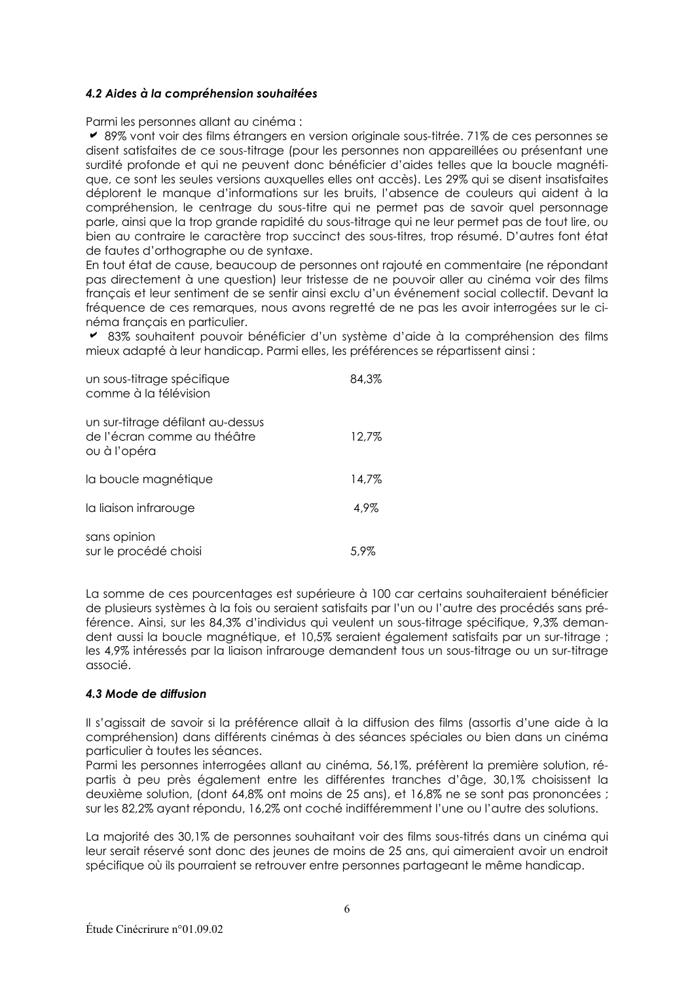## 4.2 Aides à la compréhension souhaitées

Parmi les personnes allant au cinéma :

► 89% vont voir des films étrangers en version originale sous-titrée. 71% de ces personnes se disent satisfaites de ce sous-titrage (pour les personnes non appareillées ou présentant une surdité profonde et qui ne peuvent donc bénéficier d'aides telles que la boucle magnétique, ce sont les seules versions auxquelles elles ont accès). Les 29% qui se disent insatisfaites déplorent le manque d'informations sur les bruits, l'absence de couleurs qui aident à la compréhension, le centrage du sous-titre qui ne permet pas de savoir quel personnage parle, ainsi que la trop grande rapidité du sous-titrage qui ne leur permet pas de tout lire, ou bien au contraire le caractère trop succinct des sous-titres, trop résumé. D'autres font état de fautes d'orthoaraphe ou de syntaxe.

En tout état de cause, beaucoup de personnes ont rajouté en commentaire (ne répondant pas directement à une question) leur tristesse de ne pouvoir aller au cinéma voir des films français et leur sentiment de se sentir ainsi exclu d'un événement social collectif. Devant la fréquence de ces remarques, nous avons regretté de ne pas les avoir interrogées sur le cinéma francais en particulier.

■ 83% souhaitent pouvoir bénéficier d'un système d'aide à la compréhension des films mieux adapté à leur handicap. Parmi elles, les préférences se répartissent ainsi :

| un sous-titrage spécifique<br>comme à la télévision                              | 84.3% |
|----------------------------------------------------------------------------------|-------|
| un sur-titrage défilant au-dessus<br>de l'écran comme au théâtre<br>ou à l'opéra | 12,7% |
| la boucle magnétique                                                             | 14,7% |
| la liaison infrarouge                                                            | 4,9%  |
| sans opinion<br>sur le procédé choisi                                            | 5.9%  |

La somme de ces pourcentages est supérieure à 100 car certains souhaiteraient bénéficier de plusieurs systèmes à la fois ou sergient satisfaits par l'un ou l'autre des procédés sans préférence. Ainsi, sur les 84,3% d'individus qui veulent un sous-titrage spécifique, 9,3% demandent aussi la boucle magnétique, et 10,5% sergient également satisfaits par un sur-titrage ; les 4.9% intéressés par la ligison infrarouge demandent tous un sous-titrage ou un sur-titrage associé.

### 4.3 Mode de diffusion

Il s'agissait de savoir si la préférence allait à la diffusion des films (assortis d'une aide à la compréhension) dans différents cinémas à des séances spéciales ou bien dans un cinéma particulier à toutes les séances.

Parmi les personnes interrogées allant au cinéma, 56,1%, préfèrent la première solution, répartis à peu près également entre les différentes tranches d'âge, 30,1% choisissent la deuxième solution, (dont 64,8% ont moins de 25 ans), et 16,8% ne se sont pas prononcées ; sur les 82,2% ayant répondu, 16,2% ont coché indifféremment l'une ou l'autre des solutions.

La majorité des 30,1% de personnes souhaitant voir des films sous-titrés dans un cinéma qui leur sergit réservé sont donc des jeunes de moins de 25 ans, qui gimergient avoir un endroit spécifique où ils pourraient se retrouver entre personnes partageant le même handicap.